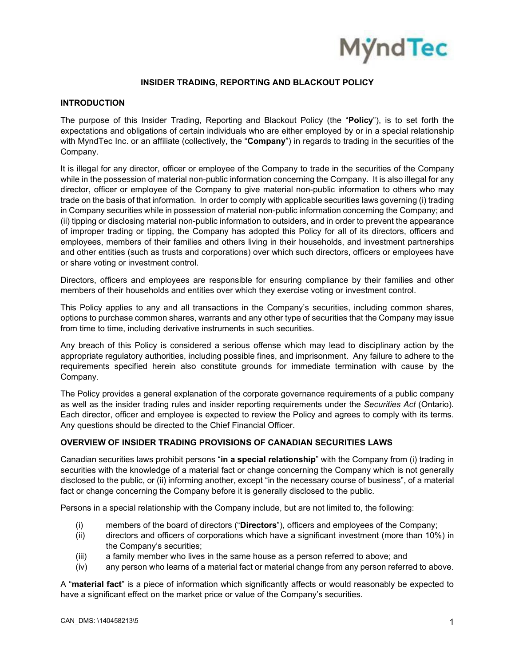

# **INSIDER TRADING, REPORTING AND BLACKOUT POLICY**

## **INTRODUCTION**

The purpose of this Insider Trading, Reporting and Blackout Policy (the "**Policy**"), is to set forth the expectations and obligations of certain individuals who are either employed by or in a special relationship with MyndTec Inc. or an affiliate (collectively, the "**Company**") in regards to trading in the securities of the Company.

It is illegal for any director, officer or employee of the Company to trade in the securities of the Company while in the possession of material non-public information concerning the Company. It is also illegal for any director, officer or employee of the Company to give material non-public information to others who may trade on the basis of that information. In order to comply with applicable securities laws governing (i) trading in Company securities while in possession of material non-public information concerning the Company; and (ii) tipping or disclosing material non-public information to outsiders, and in order to prevent the appearance of improper trading or tipping, the Company has adopted this Policy for all of its directors, officers and employees, members of their families and others living in their households, and investment partnerships and other entities (such as trusts and corporations) over which such directors, officers or employees have or share voting or investment control.

Directors, officers and employees are responsible for ensuring compliance by their families and other members of their households and entities over which they exercise voting or investment control.

This Policy applies to any and all transactions in the Company's securities, including common shares, options to purchase common shares, warrants and any other type of securities that the Company may issue from time to time, including derivative instruments in such securities.

Any breach of this Policy is considered a serious offense which may lead to disciplinary action by the appropriate regulatory authorities, including possible fines, and imprisonment. Any failure to adhere to the requirements specified herein also constitute grounds for immediate termination with cause by the Company.

The Policy provides a general explanation of the corporate governance requirements of a public company as well as the insider trading rules and insider reporting requirements under the *Securities Act* (Ontario). Each director, officer and employee is expected to review the Policy and agrees to comply with its terms. Any questions should be directed to the Chief Financial Officer.

## **OVERVIEW OF INSIDER TRADING PROVISIONS OF CANADIAN SECURITIES LAWS**

Canadian securities laws prohibit persons "**in a special relationship**" with the Company from (i) trading in securities with the knowledge of a material fact or change concerning the Company which is not generally disclosed to the public, or (ii) informing another, except "in the necessary course of business", of a material fact or change concerning the Company before it is generally disclosed to the public.

Persons in a special relationship with the Company include, but are not limited to, the following:

- (i) members of the board of directors ("**Directors**"), officers and employees of the Company;
- (ii) directors and officers of corporations which have a significant investment (more than 10%) in the Company's securities;
- (iii) a family member who lives in the same house as a person referred to above; and
- (iv) any person who learns of a material fact or material change from any person referred to above.

A "**material fact**" is a piece of information which significantly affects or would reasonably be expected to have a significant effect on the market price or value of the Company's securities.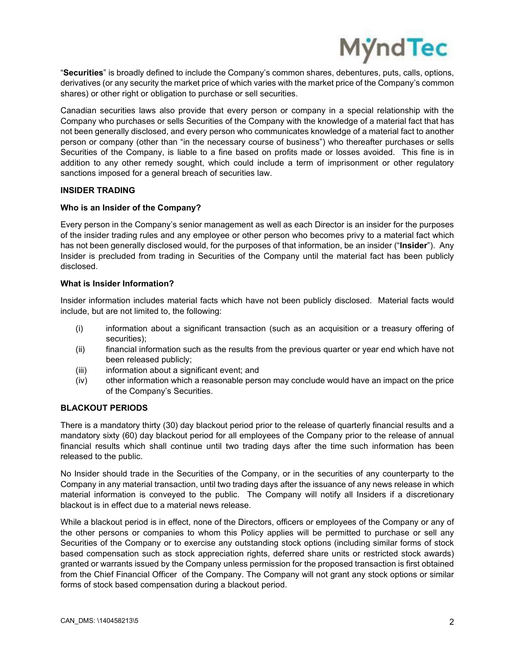

"**Securities**" is broadly defined to include the Company's common shares, debentures, puts, calls, options, derivatives (or any security the market price of which varies with the market price of the Company's common shares) or other right or obligation to purchase or sell securities.

Canadian securities laws also provide that every person or company in a special relationship with the Company who purchases or sells Securities of the Company with the knowledge of a material fact that has not been generally disclosed, and every person who communicates knowledge of a material fact to another person or company (other than "in the necessary course of business") who thereafter purchases or sells Securities of the Company, is liable to a fine based on profits made or losses avoided. This fine is in addition to any other remedy sought, which could include a term of imprisonment or other regulatory sanctions imposed for a general breach of securities law.

# **INSIDER TRADING**

# **Who is an Insider of the Company?**

Every person in the Company's senior management as well as each Director is an insider for the purposes of the insider trading rules and any employee or other person who becomes privy to a material fact which has not been generally disclosed would, for the purposes of that information, be an insider ("**Insider**"). Any Insider is precluded from trading in Securities of the Company until the material fact has been publicly disclosed.

## **What is Insider Information?**

Insider information includes material facts which have not been publicly disclosed. Material facts would include, but are not limited to, the following:

- (i) information about a significant transaction (such as an acquisition or a treasury offering of securities);
- (ii) financial information such as the results from the previous quarter or year end which have not been released publicly;
- (iii) information about a significant event; and
- (iv) other information which a reasonable person may conclude would have an impact on the price of the Company's Securities.

## **BLACKOUT PERIODS**

There is a mandatory thirty (30) day blackout period prior to the release of quarterly financial results and a mandatory sixty (60) day blackout period for all employees of the Company prior to the release of annual financial results which shall continue until two trading days after the time such information has been released to the public.

No Insider should trade in the Securities of the Company, or in the securities of any counterparty to the Company in any material transaction, until two trading days after the issuance of any news release in which material information is conveyed to the public. The Company will notify all Insiders if a discretionary blackout is in effect due to a material news release.

While a blackout period is in effect, none of the Directors, officers or employees of the Company or any of the other persons or companies to whom this Policy applies will be permitted to purchase or sell any Securities of the Company or to exercise any outstanding stock options (including similar forms of stock based compensation such as stock appreciation rights, deferred share units or restricted stock awards) granted or warrants issued by the Company unless permission for the proposed transaction is first obtained from the Chief Financial Officer of the Company. The Company will not grant any stock options or similar forms of stock based compensation during a blackout period.